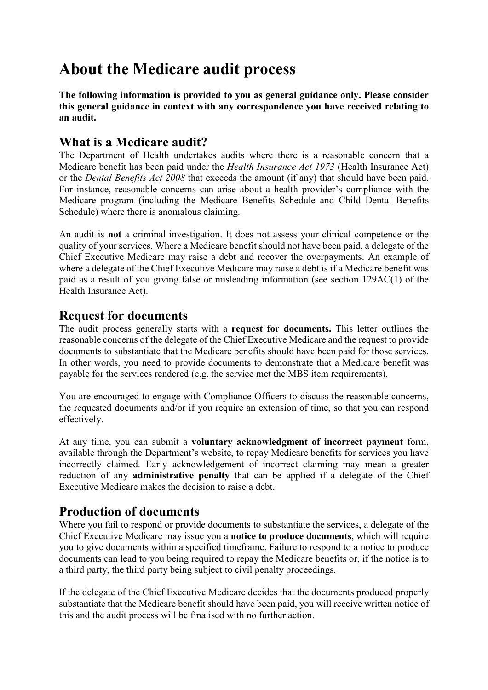# **About the Medicare audit process**

**The following information is provided to you as general guidance only. Please consider this general guidance in context with any correspondence you have received relating to an audit.** 

#### **What is a Medicare audit?**

The Department of Health undertakes audits where there is a reasonable concern that a Medicare benefit has been paid under the *Health Insurance Act 1973* (Health Insurance Act) or the *Dental Benefits Act 2008* that exceeds the amount (if any) that should have been paid. For instance, reasonable concerns can arise about a health provider's compliance with the Medicare program (including the Medicare Benefits Schedule and Child Dental Benefits Schedule) where there is anomalous claiming.

An audit is **not** a criminal investigation. It does not assess your clinical competence or the quality of your services. Where a Medicare benefit should not have been paid, a delegate of the Chief Executive Medicare may raise a debt and recover the overpayments. An example of where a delegate of the Chief Executive Medicare may raise a debt is if a Medicare benefit was paid as a result of you giving false or misleading information (see section 129AC(1) of the Health Insurance Act).

#### **Request for documents**

The audit process generally starts with a **request for documents.** This letter outlines the reasonable concerns of the delegate of the Chief Executive Medicare and the request to provide documents to substantiate that the Medicare benefits should have been paid for those services. In other words, you need to provide documents to demonstrate that a Medicare benefit was payable for the services rendered (e.g. the service met the MBS item requirements).

You are encouraged to engage with Compliance Officers to discuss the reasonable concerns, the requested documents and/or if you require an extension of time, so that you can respond effectively.

At any time, you can submit a **voluntary acknowledgment of incorrect payment** form, available through the Department's website, to repay Medicare benefits for services you have incorrectly claimed. Early acknowledgement of incorrect claiming may mean a greater reduction of any **administrative penalty** that can be applied if a delegate of the Chief Executive Medicare makes the decision to raise a debt.

### **Production of documents**

Where you fail to respond or provide documents to substantiate the services, a delegate of the Chief Executive Medicare may issue you a **notice to produce documents**, which will require you to give documents within a specified timeframe. Failure to respond to a notice to produce documents can lead to you being required to repay the Medicare benefits or, if the notice is to a third party, the third party being subject to civil penalty proceedings.

If the delegate of the Chief Executive Medicare decides that the documents produced properly substantiate that the Medicare benefit should have been paid, you will receive written notice of this and the audit process will be finalised with no further action.